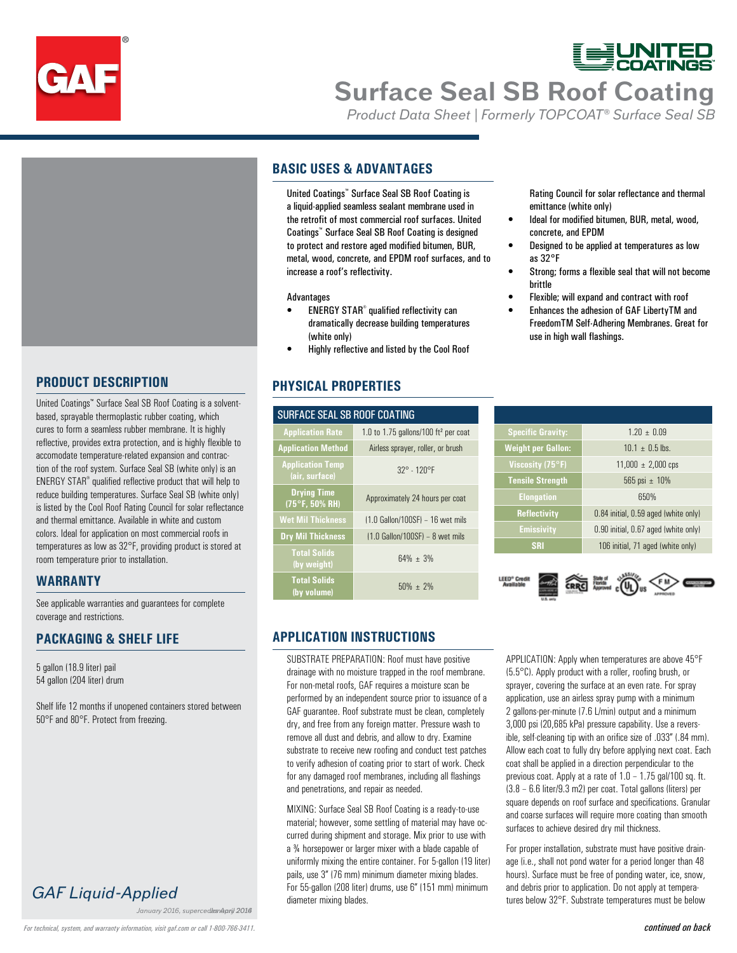

# **Surface Seal SB Roof Coating**

*Product Data Sheet | Formerly TOPCOAT® Surface Seal SB*

### **BASIC USES & ADVANTAGES**

a liquid-applied seamless sealant membrane used in the retrofit of most commercial roof surfaces. United Coatings™ Surface Seal SB Roof Coating is designed to protect and restore aged modified bitumen, BUR, metal, wood, concrete, and EPDM roof surfaces, and to increase a roof's reflectivity.

### Advantages

- ENERGY STAR<sup>®</sup> qualified reflectivity can dramatically decrease building temperatures (white only)
- Highly reflective and listed by the Cool Roof

**Application Rate** 1.0 to 1.75 gallons/100 ft² per coat **Application Method** Airless sprayer, roller, or brush

**(75°F, 50% RH)** Approximately 24 hours per coat

### **PHYSICAL PROPERTIES**

**Drying Time**

SURFACE SEAL SB ROOF COATING

Rating Council for solar reflectance and thermal emittance (white only)

- Ideal for modified bitumen, BUR, metal, wood, concrete, and EPDM
- Designed to be applied at temperatures as low as 32°F
- Strong; forms a flexible seal that will not become brittle
- Flexible; will expand and contract with roof
- Enhances the adhesion of GAF LibertyTM and FreedomTM Self-Adhering Membranes. Great for use in high wall flashings.

United Coatings™ Surface Seal SB Roof Coating is a solventbased, sprayable thermoplastic rubber coating, which cures to form a seamless rubber membrane. It is highly reflective, provides extra protection, and is highly flexible to accomodate temperature-related expansion and contraction of the roof system. Surface Seal SB (white only) is an ENERGY STAR® qualified reflective product that will help to reduce building temperatures. Surface Seal SB (white only) is listed by the Cool Roof Rating Council for solar reflectance and thermal emittance. Available in white and custom colors. Ideal for application on most commercial roofs in temperatures as low as 32°F, providing product is stored at room temperature prior to installation.

### **WARRANTY**

See applicable warranties and guarantees for complete coverage and restrictions.

### **PACKAGING & SHELF LIFE**

**PRODUCT DESCRIPTION**

5 gallon (18.9 liter) pail 54 gallon (204 liter) drum

Shelf life 12 months if unopened containers stored between 50°F and 80°F. Protect from freezing.

*GAF Liquid-Applied*

*January 2016, supercedes April 2014*

### **Wet Mil Thickness** (1.0 Gallon/100SF) – 16 wet mils **Dry Mil Thickness** (1.0 Gallon/100SF) – 8 wet mils **Total Solids (by weight)** 64% ± 3% **Total Solids (by volume)** 50% ± 2%

**Application Temp (air, surface)** 32° - 120°F

| <b>Specific Gravity:</b>  | $1.20 \pm 0.09$                      |
|---------------------------|--------------------------------------|
| <b>Weight per Gallon:</b> | $10.1 \pm 0.5$ lbs.                  |
| Viscosity (75°F)          | $11,000 \pm 2,000$ cps               |
| <b>Tensile Strength</b>   | 565 psi $\pm$ 10%                    |
| <b>Elongation</b>         | 650%                                 |
| <b>Reflectivity</b>       | 0.84 initial, 0.59 aged (white only) |
| <b>Emissivity</b>         | 0.90 initial, 0.67 aged (white only) |
| <b>SRI</b>                | 106 initial, 71 aged (white only)    |

A A H (O + O  $\bigcirc$ 



APPLICATION: Apply when temperatures are above 45°F (5.5°C). Apply product with a roller, roofing brush, or sprayer, covering the surface at an even rate. For spray application, use an airless spray pump with a minimum 2 gallons-per-minute (7.6 L/min) output and a minimum 3,000 psi (20,685 kPa) pressure capability. Use a reversible, self-cleaning tip with an orifice size of .033" (.84 mm). Allow each coat to fully dry before applying next coat. Each coat shall be applied in a direction perpendicular to the previous coat. Apply at a rate of 1.0 – 1.75 gal/100 sq. ft. (3.8 – 6.6 liter/9.3 m2) per coat. Total gallons (liters) per square depends on roof surface and specifications. Granular and coarse surfaces will require more coating than smooth surfaces to achieve desired dry mil thickness.

For proper installation, substrate must have positive drainage (i.e., shall not pond water for a period longer than 48 hours). Surface must be free of ponding water, ice, snow, and debris prior to application. Do not apply at temperatures below 32°F. Substrate temperatures must be below

**APPLICATION INSTRUCTIONS**

United Coatings™ Surface Seal SB Roof Coating is a coating is controlled to the retorint of most commetrial root strates. United the retorint of the retorint of the retorint of the retorint of the retorint of the retorin SUBSTRATE PREPARATION: Roof must have positive drainage with no moisture trapped in the roof membrane. For non-metal roofs, GAF requires a moisture scan be performed by an independent source prior to issuance of a GAF guarantee. Roof substrate must be clean, completely dry, and free from any foreign matter. Pressure wash to remove all dust and debris, and allow to dry. Examine substrate to receive new roofing and conduct test patches to verify adhesion of coating prior to start of work. Check for any damaged roof membranes, including all flashings and penetrations, and repair as needed.

MIXING: Surface Seal SB Roof Coating is a ready-to-use material; however, some settling of material may have occurred during shipment and storage. Mix prior to use with a ¾ horsepower or larger mixer with a blade capable of uniformly mixing the entire container. For 5-gallon (19 liter) pails, use 3" (76 mm) minimum diameter mixing blades. For 55-gallon (208 liter) drums, use 6" (151 mm) minimum diameter mixing blades.